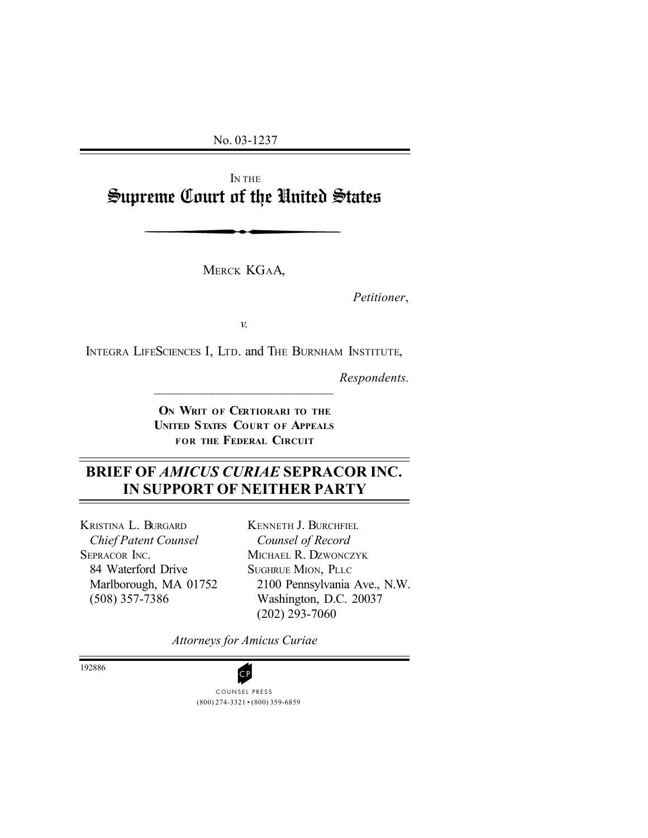No. 03-1237

I<sup>N</sup> THE Supreme Court of the United States

MERCK KGAA,

*Petitioner*,

*v.*

INTEGRA LIFESCIENCES I, LTD. and THE BURNHAM INSTITUTE,

 $\mathcal{L}_\text{max}$ 

*Respondents.*

**O<sup>N</sup> WRIT OF CERTIORARI TO THE UNITED STATES COURT OF APPEALS FOR THE FEDERAL CIRCUIT**

# **BRIEF OF** *AMICUS CURIAE* **SEPRACOR INC. IN SUPPORT OF NEITHER PARTY**

KRISTINA L. BURGARD *Chief Patent Counsel* SEPRACOR INC. 84 Waterford Drive Marlborough, MA 01752 (508) 357-7386

KENNETH J. BURCHFIEL *Counsel of Record* MICHAEL R. DZWONCZYK SUGHRUE MION, PLLC 2100 Pennsylvania Ave., N.W. Washington, D.C. 20037 (202) 293-7060

*Attorneys for Amicus Curiae*

192886

(800) 274-3321 • (800) 359-6859 COUNSEL PRESS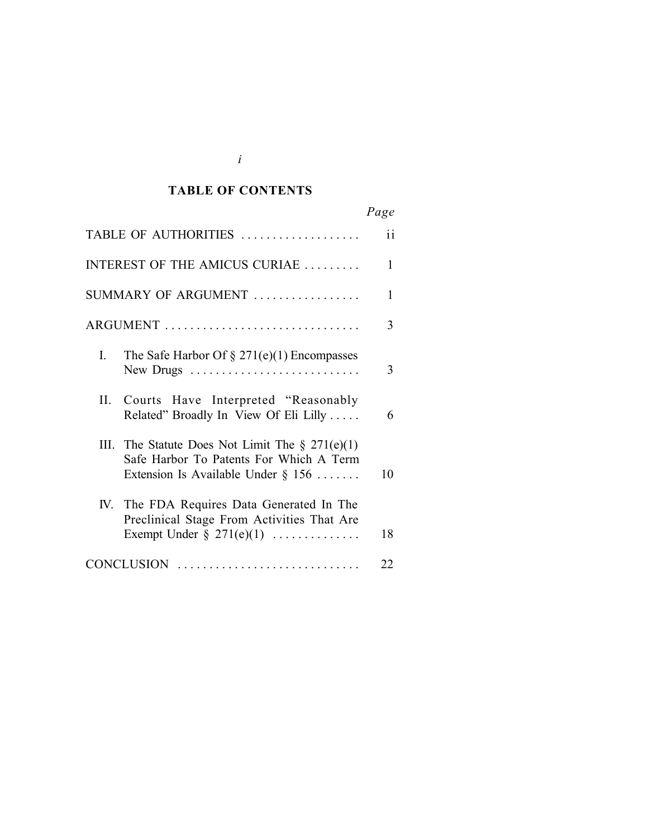#### *Cited Authorities* **TABLE OF CONTENTS**

|                                                                                                                                           | Page          |
|-------------------------------------------------------------------------------------------------------------------------------------------|---------------|
| TABLE OF AUTHORITIES                                                                                                                      | $\mathbf{ii}$ |
| INTEREST OF THE AMICUS CURIAE                                                                                                             | 1             |
| SUMMARY OF ARGUMENT                                                                                                                       | 1             |
| ARGUMENT                                                                                                                                  | 3             |
| L<br>The Safe Harbor Of $\S 271(e)(1)$ Encompasses                                                                                        | 3             |
| Courts Have Interpreted "Reasonably<br>II.<br>Related" Broadly In View Of Eli Lilly                                                       | 6             |
| III.<br>The Statute Does Not Limit The $\S 271(e)(1)$<br>Safe Harbor To Patents For Which A Term<br>Extension Is Available Under $\S 156$ | 10            |
| The FDA Requires Data Generated In The<br>IV.<br>Preclinical Stage From Activities That Are<br>Exempt Under $\S$ 271(e)(1)                | 18            |
| CONCLUSION                                                                                                                                | 22            |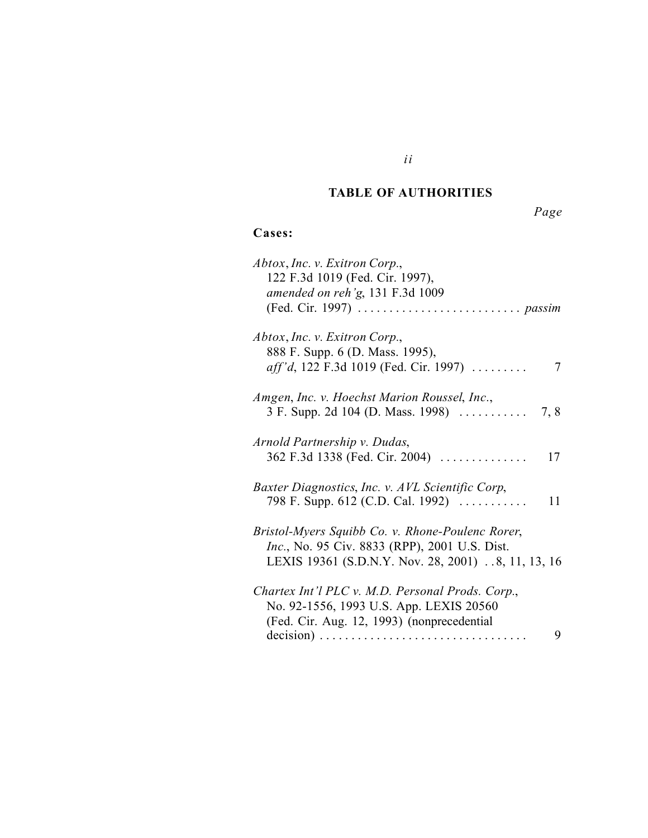#### *Cited Authorities* **TABLE OF AUTHORITIES**

*ii*

*Page*

# **Cases:**

| Abtox, Inc. v. Exitron Corp.,<br>122 F.3d 1019 (Fed. Cir. 1997),<br>amended on reh'g, 131 F.3d 1009                                                             |    |
|-----------------------------------------------------------------------------------------------------------------------------------------------------------------|----|
| Abtox, Inc. v. Exitron Corp.,<br>888 F. Supp. 6 (D. Mass. 1995),<br>aff'd, 122 F.3d 1019 (Fed. Cir. 1997)                                                       | 7  |
| Amgen, Inc. v. Hoechst Marion Roussel, Inc.,                                                                                                                    |    |
| Arnold Partnership v. Dudas,<br>362 F.3d 1338 (Fed. Cir. 2004)                                                                                                  | 17 |
| Baxter Diagnostics, Inc. v. AVL Scientific Corp,<br>798 F. Supp. 612 (C.D. Cal. 1992)                                                                           | 11 |
| Bristol-Myers Squibb Co. v. Rhone-Poulenc Rorer,<br><i>Inc.</i> , No. 95 Civ. 8833 (RPP), 2001 U.S. Dist.<br>LEXIS 19361 (S.D.N.Y. Nov. 28, 2001) 8, 11, 13, 16 |    |
| Chartex Int'l PLC v. M.D. Personal Prods. Corp.,<br>No. 92-1556, 1993 U.S. App. LEXIS 20560<br>(Fed. Cir. Aug. 12, 1993) (nonprecedential                       |    |
|                                                                                                                                                                 | 9  |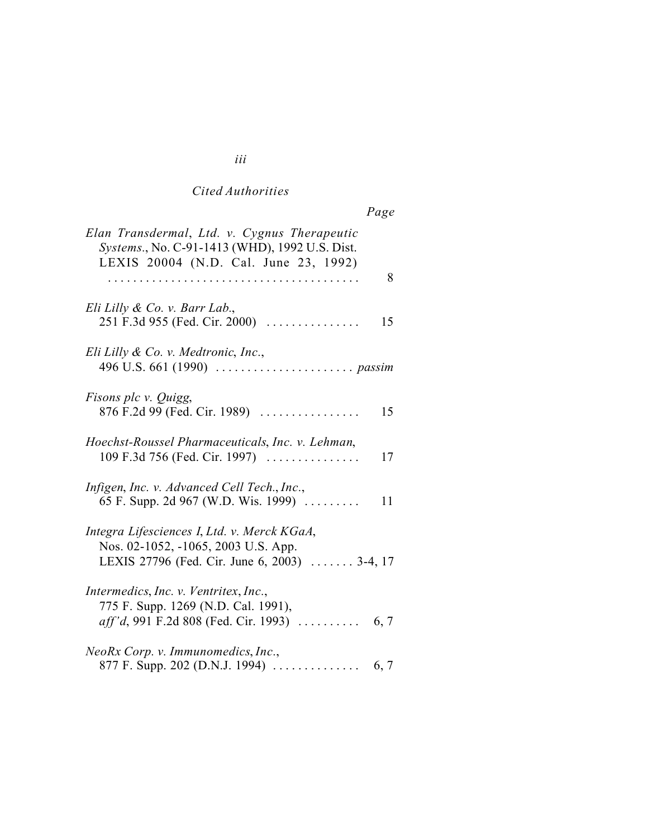# *Cited Authorities*

|--|

| Elan Transdermal, Ltd. v. Cygnus Therapeutic<br>Systems., No. C-91-1413 (WHD), 1992 U.S. Dist.<br>LEXIS 20004 (N.D. Cal. June 23, 1992) |
|-----------------------------------------------------------------------------------------------------------------------------------------|
| 8                                                                                                                                       |
| Eli Lilly & Co. v. Barr Lab.,<br>251 F.3d 955 (Fed. Cir. 2000)<br>15                                                                    |
| Eli Lilly & Co. v. Medtronic, Inc.,                                                                                                     |
| <i>Fisons plc v. Quigg,</i><br>876 F.2d 99 (Fed. Cir. 1989)<br>15                                                                       |
| Hoechst-Roussel Pharmaceuticals, Inc. v. Lehman,<br>109 F.3d 756 (Fed. Cir. 1997)<br>17                                                 |
| Infigen, Inc. v. Advanced Cell Tech., Inc.,<br>65 F. Supp. 2d 967 (W.D. Wis. 1999)<br>11                                                |
| Integra Lifesciences I, Ltd. v. Merck KGaA,<br>Nos. 02-1052, -1065, 2003 U.S. App.<br>LEXIS 27796 (Fed. Cir. June 6, 2003)  3-4, 17     |
| Intermedics, Inc. v. Ventritex, Inc.,<br>775 F. Supp. 1269 (N.D. Cal. 1991),<br>aff'd, 991 F.2d 808 (Fed. Cir. 1993)<br>6, 7            |
| NeoRx Corp. v. Immunomedics, Inc.,                                                                                                      |

## *iii*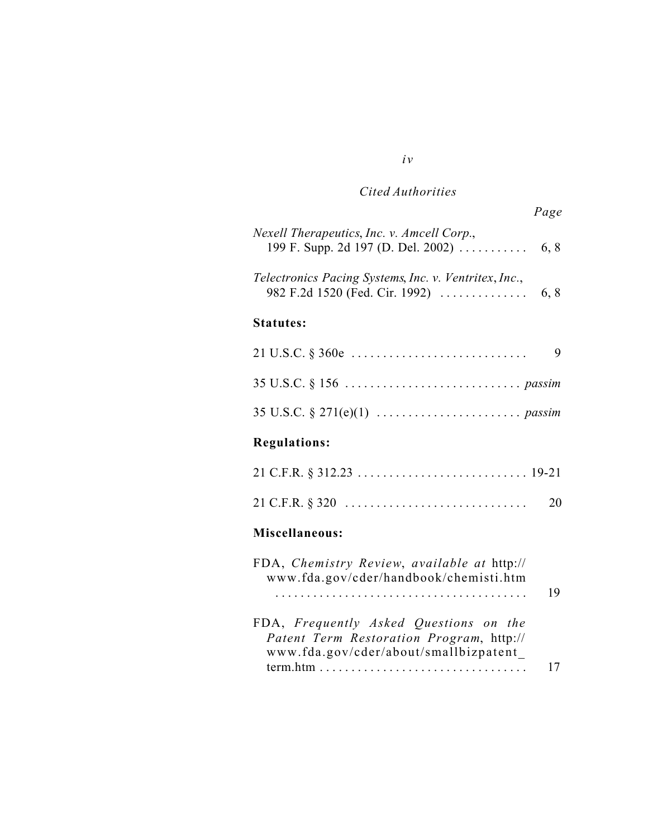# *Cited Authorities*

|                                                                                         | Page |
|-----------------------------------------------------------------------------------------|------|
| Nexell Therapeutics, Inc. v. Amcell Corp.,                                              |      |
| Telectronics Pacing Systems, Inc. v. Ventritex, Inc.,<br>982 F.2d 1520 (Fed. Cir. 1992) | 6, 8 |
| <b>Statutes:</b>                                                                        |      |
|                                                                                         | 9    |
|                                                                                         |      |
|                                                                                         |      |
| <b>Regulations:</b>                                                                     |      |
|                                                                                         |      |
|                                                                                         | 20   |
| Miscellaneous:                                                                          |      |
| FDA, Chemistry Review, available at http://<br>www.fda.gov/cder/handbook/chemisti.htm   | 19   |
| FDA, Frequently Asked Questions on the                                                  |      |
| Patent Term Restoration Program, http://<br>www.fda.gov/cder/about/smallbizpatent_      |      |
|                                                                                         | 17   |

## *iv*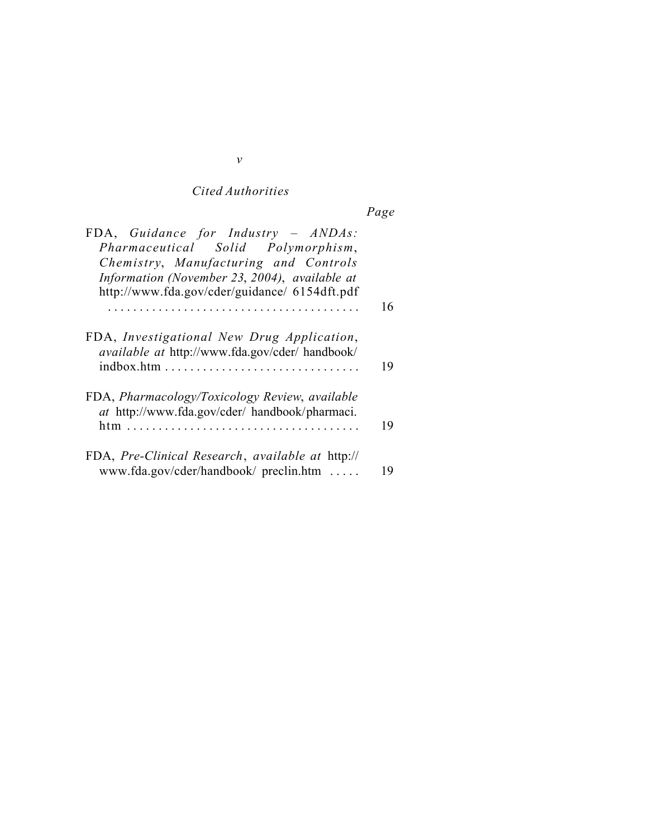# *Cited Authorities*

| age |  |
|-----|--|
|     |  |

| FDA, Guidance for Industry - ANDAs:<br>Pharmaceutical Solid Polymorphism,<br>Chemistry, Manufacturing and Controls<br>Information (November 23, 2004), available at<br>http://www.fda.gov/cder/guidance/ 6154dft.pdf |    |
|----------------------------------------------------------------------------------------------------------------------------------------------------------------------------------------------------------------------|----|
|                                                                                                                                                                                                                      | 16 |
| FDA, Investigational New Drug Application,<br>available at http://www.fda.gov/cder/ handbook/                                                                                                                        | 19 |
| FDA, Pharmacology/Toxicology Review, available<br>at http://www.fda.gov/cder/ handbook/pharmaci.                                                                                                                     | 19 |
| FDA, Pre-Clinical Research, available at http://<br>www.fda.gov/cder/handbook/ preclin.htm                                                                                                                           | 19 |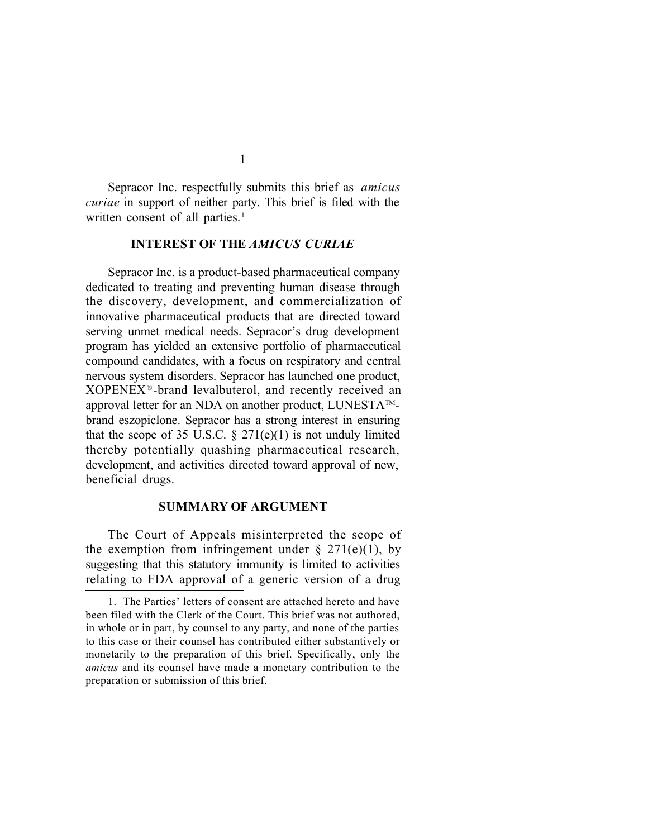Sepracor Inc. respectfully submits this brief as *amicus curiae* in support of neither party. This brief is filed with the written consent of all parties.<sup>1</sup>

#### **INTEREST OF THE** *AMICUS CURIAE*

Sepracor Inc. is a product-based pharmaceutical company dedicated to treating and preventing human disease through the discovery, development, and commercialization of innovative pharmaceutical products that are directed toward serving unmet medical needs. Sepracor's drug development program has yielded an extensive portfolio of pharmaceutical compound candidates, with a focus on respiratory and central nervous system disorders. Sepracor has launched one product, XOPENEX®-brand levalbuterol, and recently received an approval letter for an NDA on another product, LUNESTA™brand eszopiclone. Sepracor has a strong interest in ensuring that the scope of 35 U.S.C.  $\S 271(e)(1)$  is not unduly limited thereby potentially quashing pharmaceutical research, development, and activities directed toward approval of new, beneficial drugs.

#### **SUMMARY OF ARGUMENT**

The Court of Appeals misinterpreted the scope of the exemption from infringement under  $\S$  271(e)(1), by suggesting that this statutory immunity is limited to activities relating to FDA approval of a generic version of a drug

<sup>1.</sup> The Parties' letters of consent are attached hereto and have been filed with the Clerk of the Court. This brief was not authored, in whole or in part, by counsel to any party, and none of the parties to this case or their counsel has contributed either substantively or monetarily to the preparation of this brief. Specifically, only the *amicus* and its counsel have made a monetary contribution to the preparation or submission of this brief.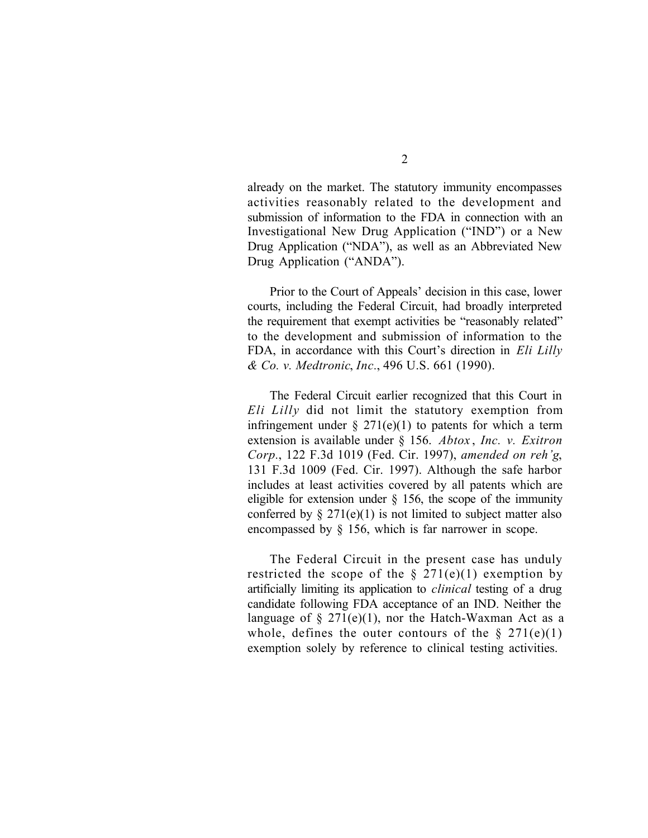already on the market. The statutory immunity encompasses activities reasonably related to the development and submission of information to the FDA in connection with an Investigational New Drug Application ("IND") or a New Drug Application ("NDA"), as well as an Abbreviated New Drug Application ("ANDA").

Prior to the Court of Appeals' decision in this case, lower courts, including the Federal Circuit, had broadly interpreted the requirement that exempt activities be "reasonably related" to the development and submission of information to the FDA, in accordance with this Court's direction in *Eli Lilly & Co. v. Medtronic*, *Inc.*, 496 U.S. 661 (1990).

The Federal Circuit earlier recognized that this Court in *Eli Lilly* did not limit the statutory exemption from infringement under  $\S 271(e)(1)$  to patents for which a term extension is available under § 156. *Abtox* , *Inc. v. Exitron Corp.*, 122 F.3d 1019 (Fed. Cir. 1997), *amended on reh'g*, 131 F.3d 1009 (Fed. Cir. 1997). Although the safe harbor includes at least activities covered by all patents which are eligible for extension under  $\S$  156, the scope of the immunity conferred by  $\S 271(e)(1)$  is not limited to subject matter also encompassed by § 156, which is far narrower in scope.

The Federal Circuit in the present case has unduly restricted the scope of the  $\S 271(e)(1)$  exemption by artificially limiting its application to *clinical* testing of a drug candidate following FDA acceptance of an IND. Neither the language of  $\S 271(e)(1)$ , nor the Hatch-Waxman Act as a whole, defines the outer contours of the  $\S 271(e)(1)$ exemption solely by reference to clinical testing activities.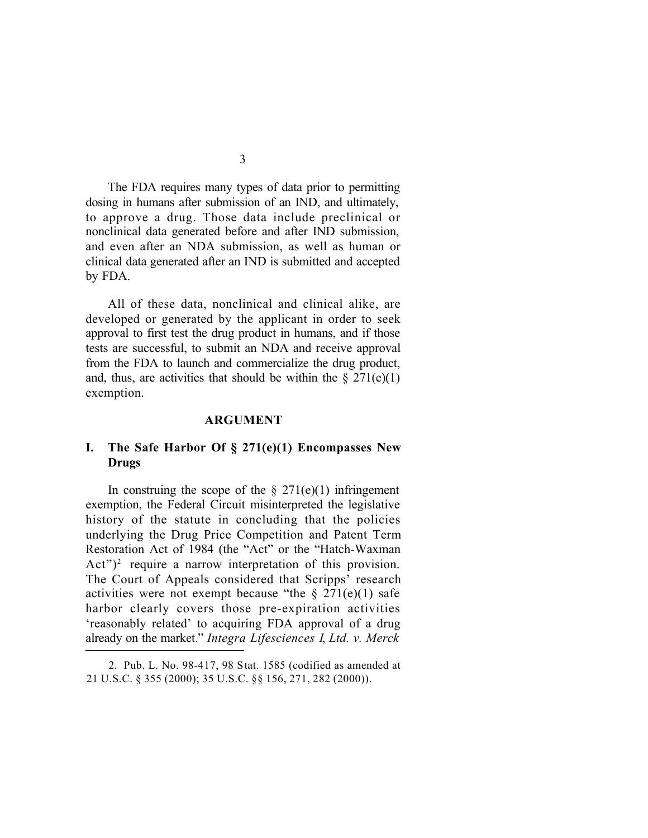The FDA requires many types of data prior to permitting dosing in humans after submission of an IND, and ultimately, to approve a drug. Those data include preclinical or nonclinical data generated before and after IND submission, and even after an NDA submission, as well as human or clinical data generated after an IND is submitted and accepted by FDA.

All of these data, nonclinical and clinical alike, are developed or generated by the applicant in order to seek approval to first test the drug product in humans, and if those tests are successful, to submit an NDA and receive approval from the FDA to launch and commercialize the drug product, and, thus, are activities that should be within the  $\S 271(e)(1)$ exemption.

#### **ARGUMENT**

## **I. The Safe Harbor Of § 271(e)(1) Encompasses New Drugs**

In construing the scope of the  $\S 271(e)(1)$  infringement exemption, the Federal Circuit misinterpreted the legislative history of the statute in concluding that the policies underlying the Drug Price Competition and Patent Term Restoration Act of 1984 (the "Act" or the "Hatch-Waxman Act")<sup>2</sup> require a narrow interpretation of this provision. The Court of Appeals considered that Scripps' research activities were not exempt because "the  $\S 271(e)(1)$  safe harbor clearly covers those pre-expiration activities 'reasonably related' to acquiring FDA approval of a drug already on the market." *Integra Lifesciences I*, *Ltd. v. Merck*

<sup>2.</sup> Pub. L. No. 98-417, 98 Stat. 1585 (codified as amended at 21 U.S.C. § 355 (2000); 35 U.S.C. §§ 156, 271, 282 (2000)).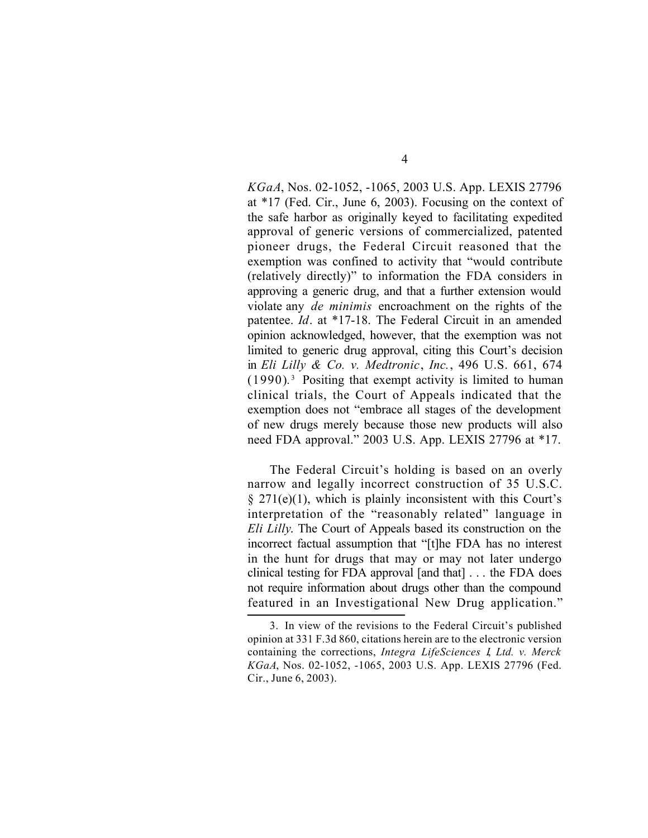*KGaA*, Nos. 02-1052, -1065, 2003 U.S. App. LEXIS 27796 at \*17 (Fed. Cir., June 6, 2003). Focusing on the context of the safe harbor as originally keyed to facilitating expedited approval of generic versions of commercialized, patented pioneer drugs, the Federal Circuit reasoned that the exemption was confined to activity that "would contribute (relatively directly)" to information the FDA considers in approving a generic drug, and that a further extension would violate any *de minimis* encroachment on the rights of the patentee. *Id*. at \*17-18. The Federal Circuit in an amended opinion acknowledged, however, that the exemption was not limited to generic drug approval, citing this Court's decision in *Eli Lilly & Co. v. Medtronic*, *Inc.*, 496 U.S. 661, 674 (1990)*.* 3 Positing that exempt activity is limited to human clinical trials, the Court of Appeals indicated that the exemption does not "embrace all stages of the development of new drugs merely because those new products will also need FDA approval." 2003 U.S. App. LEXIS 27796 at \*17.

The Federal Circuit's holding is based on an overly narrow and legally incorrect construction of 35 U.S.C.  $\S 271(e)(1)$ , which is plainly inconsistent with this Court's interpretation of the "reasonably related" language in *Eli Lilly*. The Court of Appeals based its construction on the incorrect factual assumption that "[t]he FDA has no interest in the hunt for drugs that may or may not later undergo clinical testing for FDA approval [and that] . . . the FDA does not require information about drugs other than the compound featured in an Investigational New Drug application."

<sup>3.</sup> In view of the revisions to the Federal Circuit's published opinion at 331 F.3d 860, citations herein are to the electronic version containing the corrections, *Integra LifeSciences I*, *Ltd. v. Merck KGaA*, Nos. 02-1052, -1065, 2003 U.S. App. LEXIS 27796 (Fed. Cir., June 6, 2003).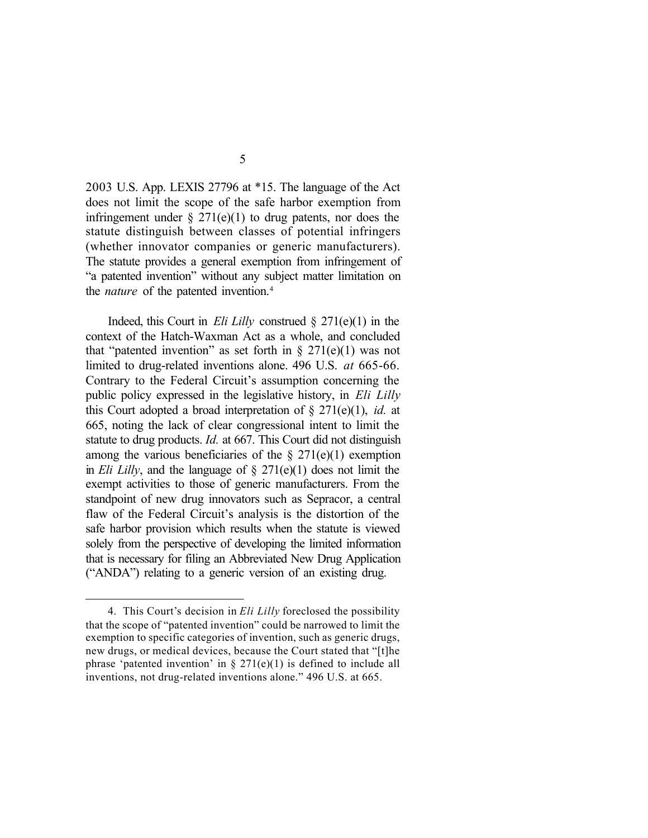2003 U.S. App. LEXIS 27796 at \*15. The language of the Act does not limit the scope of the safe harbor exemption from infringement under  $\S 271(e)(1)$  to drug patents, nor does the statute distinguish between classes of potential infringers (whether innovator companies or generic manufacturers). The statute provides a general exemption from infringement of "a patented invention" without any subject matter limitation on the *nature* of the patented invention.<sup>4</sup>

Indeed, this Court in *Eli Lilly* construed § 271(e)(1) in the context of the Hatch-Waxman Act as a whole, and concluded that "patented invention" as set forth in  $\S 271(e)(1)$  was not limited to drug-related inventions alone. 496 U.S. *at* 665-66. Contrary to the Federal Circuit's assumption concerning the public policy expressed in the legislative history, in *Eli Lilly* this Court adopted a broad interpretation of § 271(e)(1), *id.* at 665, noting the lack of clear congressional intent to limit the statute to drug products. *Id.* at 667. This Court did not distinguish among the various beneficiaries of the  $\S 271(e)(1)$  exemption in *Eli Lilly*, and the language of § 271(e)(1) does not limit the exempt activities to those of generic manufacturers. From the standpoint of new drug innovators such as Sepracor, a central flaw of the Federal Circuit's analysis is the distortion of the safe harbor provision which results when the statute is viewed solely from the perspective of developing the limited information that is necessary for filing an Abbreviated New Drug Application ("ANDA") relating to a generic version of an existing drug.

<sup>4.</sup> This Court's decision in *Eli Lilly* foreclosed the possibility that the scope of "patented invention" could be narrowed to limit the exemption to specific categories of invention, such as generic drugs, new drugs, or medical devices, because the Court stated that "[t]he phrase 'patented invention' in  $\S 271(e)(1)$  is defined to include all inventions, not drug-related inventions alone." 496 U.S. at 665.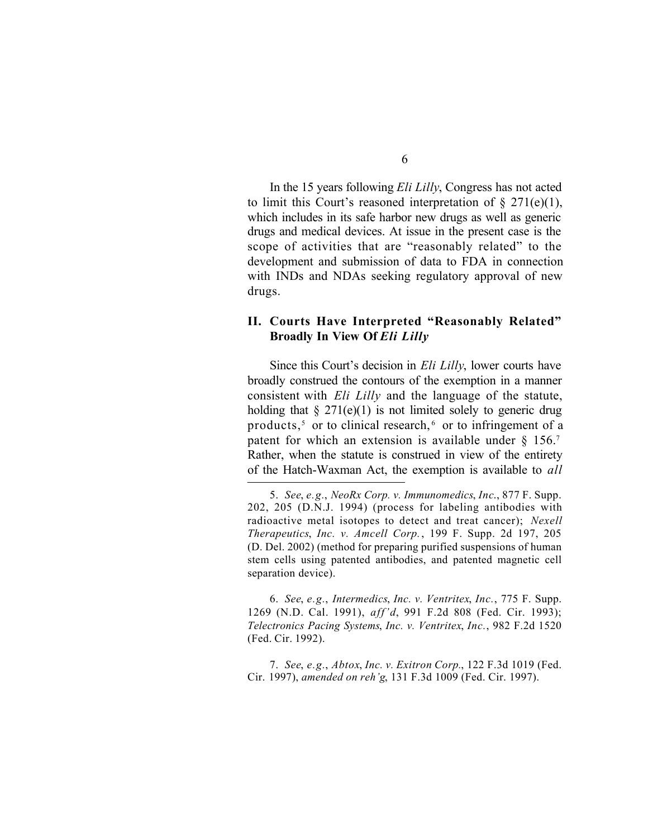In the 15 years following *Eli Lilly*, Congress has not acted to limit this Court's reasoned interpretation of  $\S 271(e)(1)$ , which includes in its safe harbor new drugs as well as generic drugs and medical devices. At issue in the present case is the scope of activities that are "reasonably related" to the development and submission of data to FDA in connection with INDs and NDAs seeking regulatory approval of new drugs.

## **II. Courts Have Interpreted "Reasonably Related" Broadly In View Of** *Eli Lilly*

Since this Court's decision in *Eli Lilly*, lower courts have broadly construed the contours of the exemption in a manner consistent with *Eli Lilly* and the language of the statute, holding that  $\S 271(e)(1)$  is not limited solely to generic drug products,<sup>5</sup> or to clinical research,<sup>6</sup> or to infringement of a patent for which an extension is available under  $\S$  156.7 Rather, when the statute is construed in view of the entirety of the Hatch-Waxman Act, the exemption is available to *all*

6. *See*, *e.g.*, *Intermedics*, *Inc. v. Ventritex*, *Inc.*, 775 F. Supp. 1269 (N.D. Cal. 1991), *aff'd*, 991 F.2d 808 (Fed. Cir. 1993); *Telectronics Pacing Systems*, *Inc. v. Ventritex*, *Inc.*, 982 F.2d 1520 (Fed. Cir. 1992).

7. *See*, *e.g.*, *Abtox*, *Inc. v. Exitron Corp.*, 122 F.3d 1019 (Fed. Cir. 1997), *amended on reh'g*, 131 F.3d 1009 (Fed. Cir. 1997).

<sup>5.</sup> *See*, *e.g.*, *NeoRx Corp. v. Immunomedics*, *Inc*., 877 F. Supp. 202, 205 (D.N.J. 1994) (process for labeling antibodies with radioactive metal isotopes to detect and treat cancer); *Nexell Therapeutics*, *Inc. v. Amcell Corp.*, 199 F. Supp. 2d 197, 205 (D. Del. 2002) (method for preparing purified suspensions of human stem cells using patented antibodies, and patented magnetic cell separation device).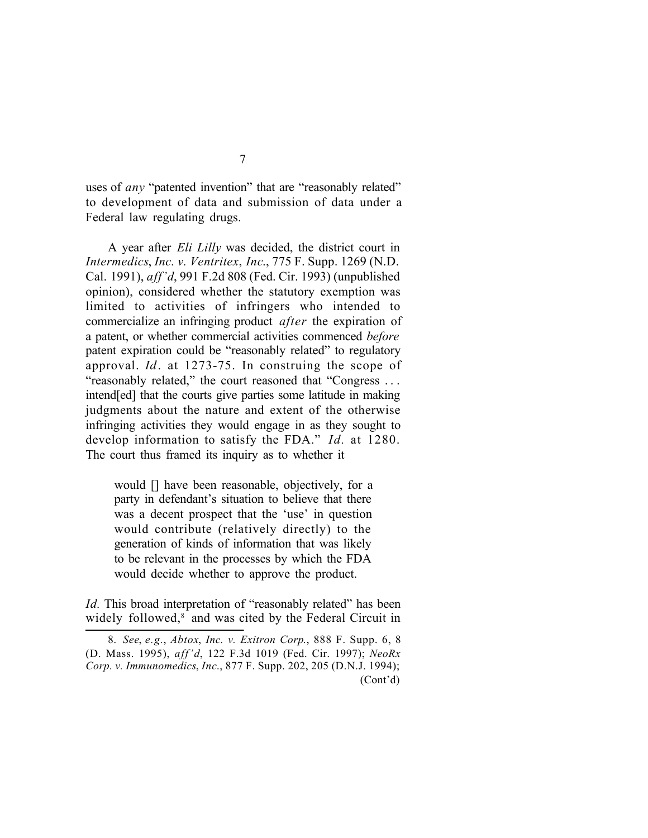uses of *any* "patented invention" that are "reasonably related" to development of data and submission of data under a Federal law regulating drugs.

A year after *Eli Lilly* was decided, the district court in *Intermedics*, *Inc. v. Ventritex*, *Inc*., 775 F. Supp. 1269 (N.D. Cal. 1991), *aff'd*, 991 F.2d 808 (Fed. Cir. 1993) (unpublished opinion), considered whether the statutory exemption was limited to activities of infringers who intended to commercialize an infringing product *after* the expiration of a patent, or whether commercial activities commenced *before* patent expiration could be "reasonably related" to regulatory approval. *Id*. at 1273-75. In construing the scope of "reasonably related," the court reasoned that "Congress . . . intend[ed] that the courts give parties some latitude in making judgments about the nature and extent of the otherwise infringing activities they would engage in as they sought to develop information to satisfy the FDA." *Id.* at 1280. The court thus framed its inquiry as to whether it

would [] have been reasonable, objectively, for a party in defendant's situation to believe that there was a decent prospect that the 'use' in question would contribute (relatively directly) to the generation of kinds of information that was likely to be relevant in the processes by which the FDA would decide whether to approve the product.

*Id.* This broad interpretation of "reasonably related" has been widely followed,<sup>8</sup> and was cited by the Federal Circuit in

<sup>8.</sup> *See*, *e.g.*, *Abtox*, *Inc. v. Exitron Corp*., 888 F. Supp. 6, 8 (D. Mass. 1995), *aff'd*, 122 F.3d 1019 (Fed. Cir. 1997); *NeoRx Corp. v. Immunomedics*, *Inc*., 877 F. Supp. 202, 205 (D.N.J. 1994); (Cont'd)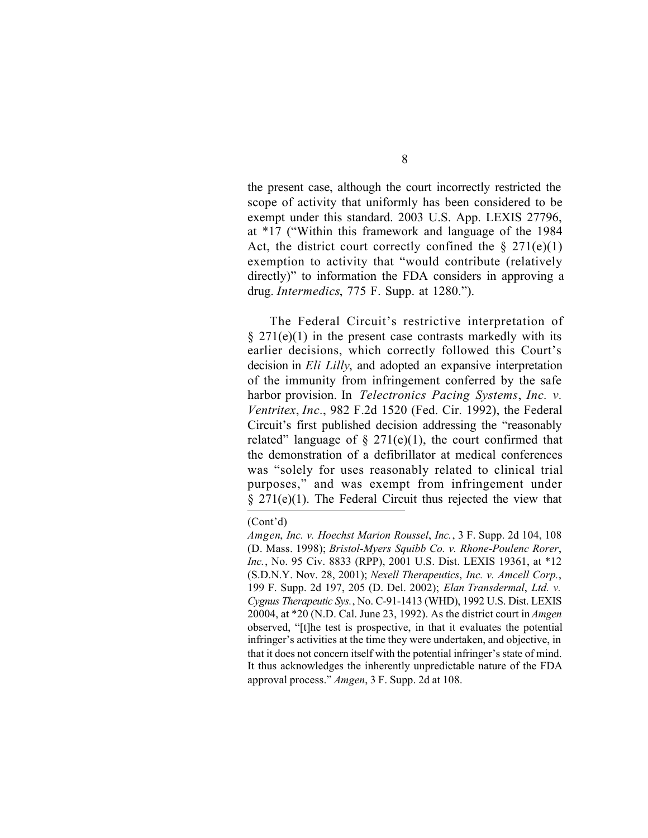the present case, although the court incorrectly restricted the scope of activity that uniformly has been considered to be exempt under this standard. 2003 U.S. App. LEXIS 27796, at \*17 ("Within this framework and language of the 1984 Act, the district court correctly confined the  $\S 271(e)(1)$ exemption to activity that "would contribute (relatively directly)" to information the FDA considers in approving a drug. *Intermedics*, 775 F. Supp. at 1280.").

The Federal Circuit's restrictive interpretation of  $§$  271(e)(1) in the present case contrasts markedly with its earlier decisions, which correctly followed this Court's decision in *Eli Lilly*, and adopted an expansive interpretation of the immunity from infringement conferred by the safe harbor provision. In *Telectronics Pacing Systems*, *Inc. v. Ventritex*, *Inc.*, 982 F.2d 1520 (Fed. Cir. 1992), the Federal Circuit's first published decision addressing the "reasonably related" language of  $\S 271(e)(1)$ , the court confirmed that the demonstration of a defibrillator at medical conferences was "solely for uses reasonably related to clinical trial purposes," and was exempt from infringement under  $\S$  271(e)(1). The Federal Circuit thus rejected the view that

<sup>(</sup>Cont'd)

*Amgen*, *Inc. v. Hoechst Marion Roussel*, *Inc.*, 3 F. Supp. 2d 104, 108 (D. Mass. 1998); *Bristol-Myers Squibb Co. v. Rhone-Poulenc Rorer*, *Inc.*, No. 95 Civ. 8833 (RPP), 2001 U.S. Dist. LEXIS 19361, at \*12 (S.D.N.Y. Nov. 28, 2001); *Nexell Therapeutics*, *Inc. v. Amcell Corp.*, 199 F. Supp. 2d 197, 205 (D. Del. 2002); *Elan Transdermal*, *Ltd. v. Cygnus Therapeutic Sys.*, No. C-91-1413 (WHD), 1992 U.S. Dist. LEXIS 20004, at \*20 (N.D. Cal. June 23, 1992). As the district court in *Amgen* observed, "[t]he test is prospective, in that it evaluates the potential infringer's activities at the time they were undertaken, and objective, in that it does not concern itself with the potential infringer's state of mind. It thus acknowledges the inherently unpredictable nature of the FDA approval process." *Amgen*, 3 F. Supp. 2d at 108.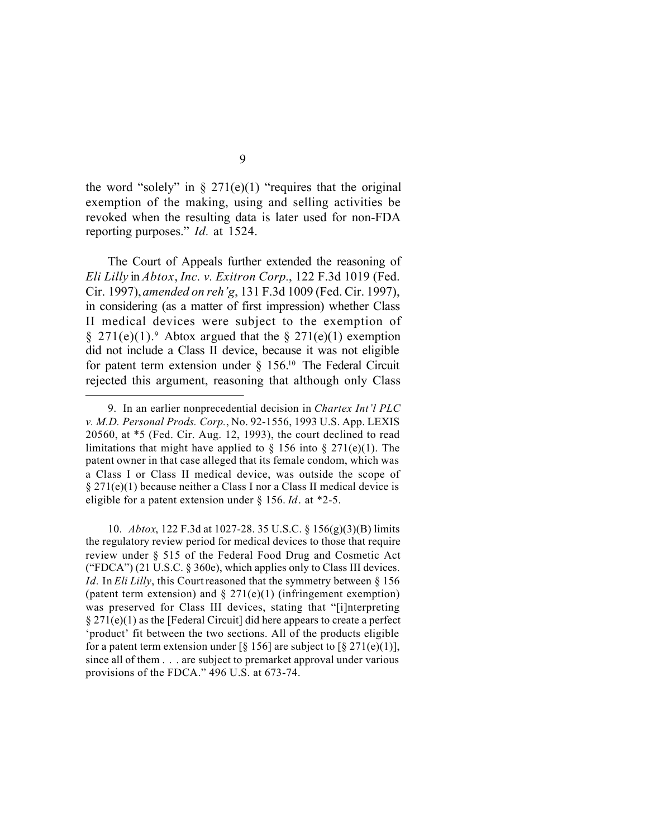the word "solely" in  $\S 271(e)(1)$  "requires that the original exemption of the making, using and selling activities be revoked when the resulting data is later used for non-FDA reporting purposes." *Id.* at 1524.

The Court of Appeals further extended the reasoning of *Eli Lilly* in *Abtox*, *Inc. v. Exitron Corp.*, 122 F.3d 1019 (Fed. Cir. 1997), *amended on reh'g*, 131 F.3d 1009 (Fed. Cir. 1997), in considering (as a matter of first impression) whether Class II medical devices were subject to the exemption of  $\S 271(e)(1)$ . Abtox argued that the  $\S 271(e)(1)$  exemption did not include a Class II device, because it was not eligible for patent term extension under  $\S$  156.<sup>10</sup> The Federal Circuit rejected this argument, reasoning that although only Class

10. *Abtox*, 122 F.3d at 1027-28. 35 U.S.C. § 156(g)(3)(B) limits the regulatory review period for medical devices to those that require review under § 515 of the Federal Food Drug and Cosmetic Act ("FDCA") (21 U.S.C.  $\S$  360e), which applies only to Class III devices. *Id.* In *Eli Lilly*, this Court reasoned that the symmetry between § 156 (patent term extension) and  $\S 271(e)(1)$  (infringement exemption) was preserved for Class III devices, stating that "[i]nterpreting  $\S 271(e)(1)$  as the [Federal Circuit] did here appears to create a perfect 'product' fit between the two sections. All of the products eligible for a patent term extension under [§ 156] are subject to [§ 271(e)(1)], since all of them . . . are subject to premarket approval under various provisions of the FDCA." 496 U.S. at 673-74.

<sup>9.</sup> In an earlier nonprecedential decision in *Chartex Int'l PLC v. M.D. Personal Prods. Corp.*, No. 92-1556, 1993 U.S. App. LEXIS 20560, at \*5 (Fed. Cir. Aug. 12, 1993), the court declined to read limitations that might have applied to  $\S$  156 into  $\S$  271(e)(1). The patent owner in that case alleged that its female condom, which was a Class I or Class II medical device, was outside the scope of  $\S 271(e)(1)$  because neither a Class I nor a Class II medical device is eligible for a patent extension under § 156. *Id*. at \*2-5.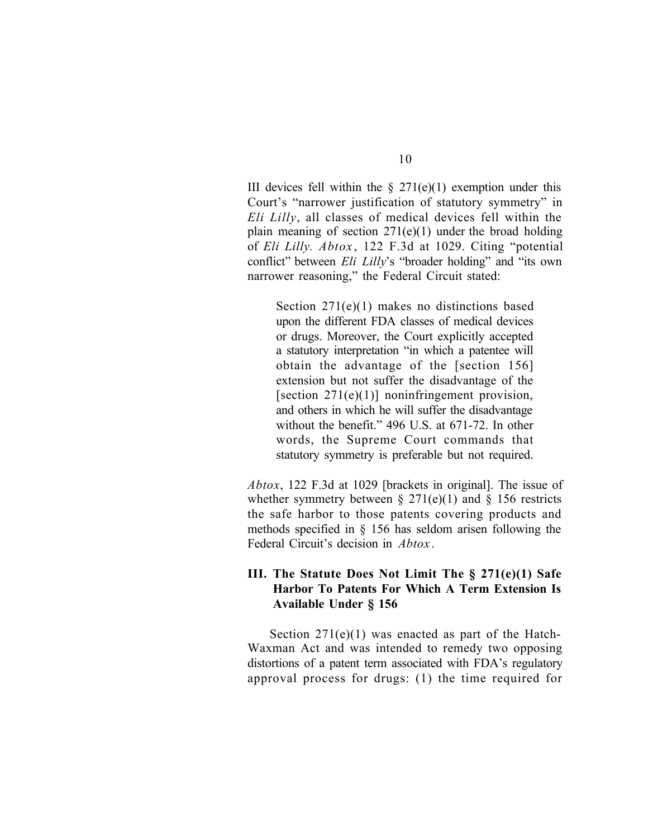III devices fell within the  $\S$  271(e)(1) exemption under this Court's "narrower justification of statutory symmetry" in *Eli Lilly*, all classes of medical devices fell within the plain meaning of section  $271(e)(1)$  under the broad holding of *Eli Lilly. Abtox* , 122 F.3d at 1029. Citing "potential conflict" between *Eli Lilly*'s "broader holding" and "its own narrower reasoning," the Federal Circuit stated:

Section 271(e)(1) makes no distinctions based upon the different FDA classes of medical devices or drugs. Moreover, the Court explicitly accepted a statutory interpretation "in which a patentee will obtain the advantage of the [section 156] extension but not suffer the disadvantage of the [section  $271(e)(1)$ ] noninfringement provision, and others in which he will suffer the disadvantage without the benefit." 496 U.S. at 671-72. In other words, the Supreme Court commands that statutory symmetry is preferable but not required.

*Abtox*, 122 F.3d at 1029 [brackets in original]. The issue of whether symmetry between  $\S 271(e)(1)$  and  $\S 156$  restricts the safe harbor to those patents covering products and methods specified in § 156 has seldom arisen following the Federal Circuit's decision in *Abtox* .

## **III. The Statute Does Not Limit The § 271(e)(1) Safe Harbor To Patents For Which A Term Extension Is Available Under § 156**

Section 271(e)(1) was enacted as part of the Hatch-Waxman Act and was intended to remedy two opposing distortions of a patent term associated with FDA's regulatory approval process for drugs: (1) the time required for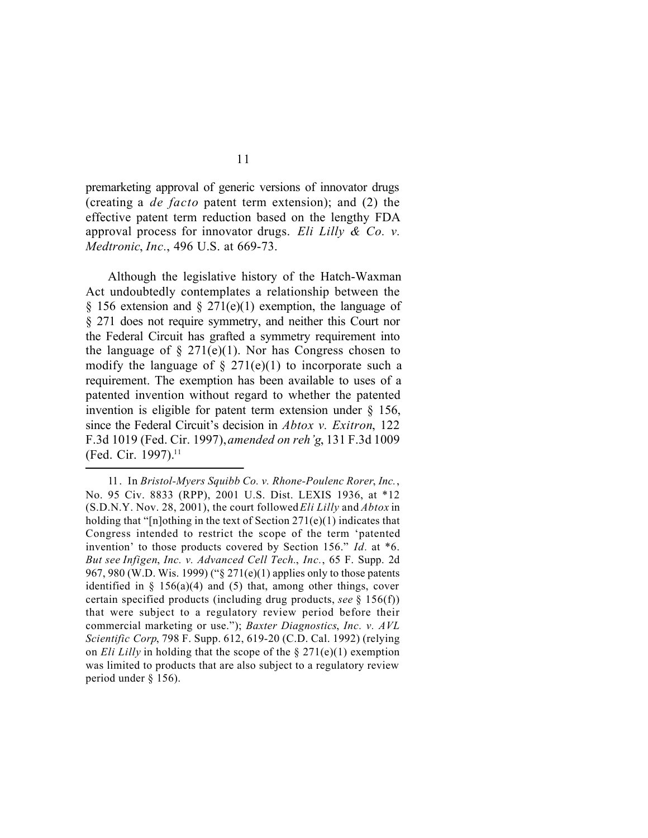premarketing approval of generic versions of innovator drugs (creating a *de facto* patent term extension); and (2) the effective patent term reduction based on the lengthy FDA approval process for innovator drugs. *Eli Lilly & Co. v. Medtronic*, *Inc.*, 496 U.S. at 669-73.

Although the legislative history of the Hatch-Waxman Act undoubtedly contemplates a relationship between the § 156 extension and § 271(e)(1) exemption, the language of § 271 does not require symmetry, and neither this Court nor the Federal Circuit has grafted a symmetry requirement into the language of  $\S 271(e)(1)$ . Nor has Congress chosen to modify the language of  $\S 271(e)(1)$  to incorporate such a requirement. The exemption has been available to uses of a patented invention without regard to whether the patented invention is eligible for patent term extension under § 156, since the Federal Circuit's decision in *Abtox v. Exitron*, 122 F.3d 1019 (Fed. Cir. 1997), *amended on reh'g*, 131 F.3d 1009 (Fed. Cir. 1997).<sup>11</sup>

<sup>11.</sup> In *Bristol-Myers Squibb Co. v. Rhone-Poulenc Rorer*, *Inc.*, No. 95 Civ. 8833 (RPP), 2001 U.S. Dist. LEXIS 1936, at \*12 (S.D.N.Y. Nov. 28, 2001), the court followed *Eli Lilly* and *Abtox* in holding that "[n]othing in the text of Section  $271(e)(1)$  indicates that Congress intended to restrict the scope of the term 'patented invention' to those products covered by Section 156." *Id.* at \*6. *But see Infigen*, *Inc. v. Advanced Cell Tech.*, *Inc.*, 65 F. Supp. 2d 967, 980 (W.D. Wis. 1999) ("§ 271(e)(1) applies only to those patents identified in  $\S$  156(a)(4) and (5) that, among other things, cover certain specified products (including drug products, *see* § 156(f)) that were subject to a regulatory review period before their commercial marketing or use."); *Baxter Diagnostics*, *Inc. v. AVL Scientific Corp*, 798 F. Supp. 612, 619-20 (C.D. Cal. 1992) (relying on *Eli Lilly* in holding that the scope of the § 271(e)(1) exemption was limited to products that are also subject to a regulatory review period under § 156).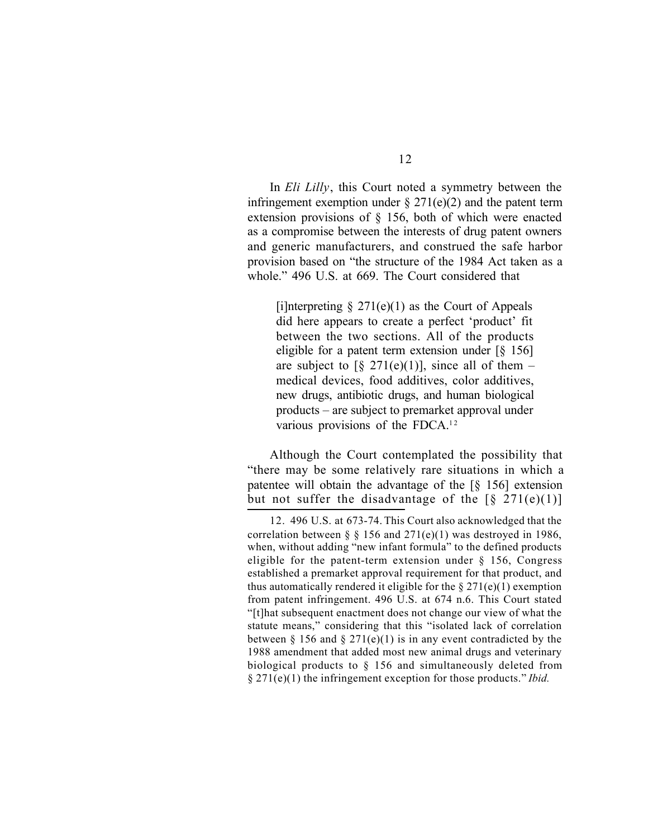In *Eli Lilly*, this Court noted a symmetry between the infringement exemption under  $\S 271(e)(2)$  and the patent term extension provisions of § 156, both of which were enacted as a compromise between the interests of drug patent owners and generic manufacturers, and construed the safe harbor provision based on "the structure of the 1984 Act taken as a whole." 496 U.S. at 669. The Court considered that

[i]nterpreting  $\S 271(e)(1)$  as the Court of Appeals did here appears to create a perfect 'product' fit between the two sections. All of the products eligible for a patent term extension under  $\lceil \xi \rceil$ are subject to  $\lceil \frac{6}{5} \cdot \frac{271(e)(1)}{271(e)} \rceil$ , since all of them – medical devices, food additives, color additives, new drugs, antibiotic drugs, and human biological products – are subject to premarket approval under various provisions of the FDCA.<sup>12</sup>

Although the Court contemplated the possibility that "there may be some relatively rare situations in which a patentee will obtain the advantage of the [§ 156] extension but not suffer the disadvantage of the  $\lceil \frac{6}{5} \cdot 271(e)(1) \rceil$ 

<sup>12.</sup> 496 U.S. at 673-74. This Court also acknowledged that the correlation between  $\S$  § 156 and 271(e)(1) was destroyed in 1986, when, without adding "new infant formula" to the defined products eligible for the patent-term extension under § 156, Congress established a premarket approval requirement for that product, and thus automatically rendered it eligible for the  $\S 271(e)(1)$  exemption from patent infringement. 496 U.S. at 674 n.6. This Court stated "[t]hat subsequent enactment does not change our view of what the statute means," considering that this "isolated lack of correlation between  $\S 156$  and  $\S 271(e)(1)$  is in any event contradicted by the 1988 amendment that added most new animal drugs and veterinary biological products to § 156 and simultaneously deleted from § 271(e)(1) the infringement exception for those products." *Ibid.*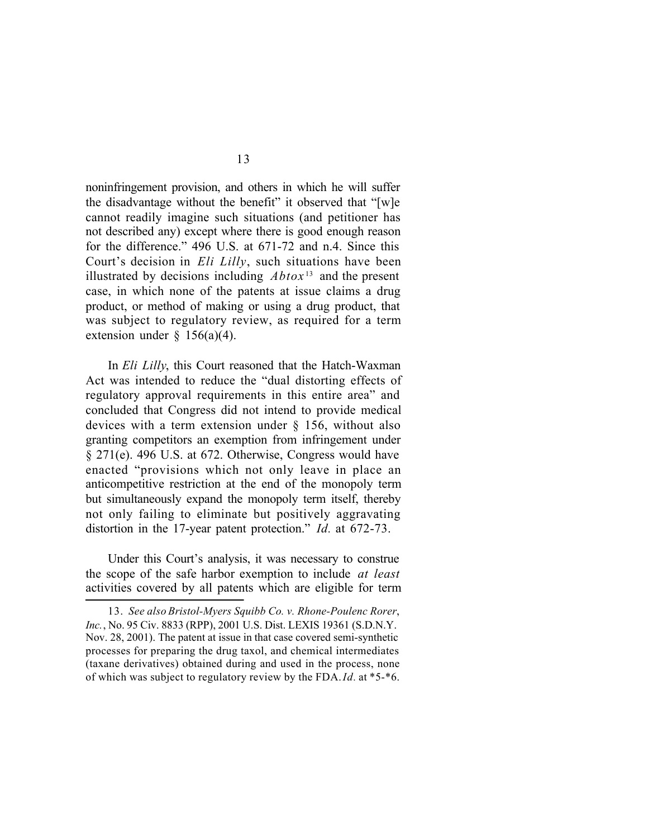noninfringement provision, and others in which he will suffer the disadvantage without the benefit" it observed that "[w]e cannot readily imagine such situations (and petitioner has not described any) except where there is good enough reason for the difference." 496 U.S. at 671-72 and n.4. Since this Court's decision in *Eli Lilly*, such situations have been illustrated by decisions including  $Abtox^{13}$  and the present case, in which none of the patents at issue claims a drug product, or method of making or using a drug product, that was subject to regulatory review, as required for a term extension under  $\S$  156(a)(4).

In *Eli Lilly*, this Court reasoned that the Hatch-Waxman Act was intended to reduce the "dual distorting effects of regulatory approval requirements in this entire area" and concluded that Congress did not intend to provide medical devices with a term extension under § 156, without also granting competitors an exemption from infringement under § 271(e). 496 U.S. at 672. Otherwise, Congress would have enacted "provisions which not only leave in place an anticompetitive restriction at the end of the monopoly term but simultaneously expand the monopoly term itself, thereby not only failing to eliminate but positively aggravating distortion in the 17-year patent protection." *Id.* at 672-73.

Under this Court's analysis, it was necessary to construe the scope of the safe harbor exemption to include *at least* activities covered by all patents which are eligible for term

<sup>13.</sup> *See also Bristol-Myers Squibb Co. v. Rhone-Poulenc Rorer*, *Inc.*, No. 95 Civ. 8833 (RPP), 2001 U.S. Dist. LEXIS 19361 (S.D.N.Y. Nov. 28, 2001). The patent at issue in that case covered semi-synthetic processes for preparing the drug taxol, and chemical intermediates (taxane derivatives) obtained during and used in the process, none of which was subject to regulatory review by the FDA. *Id.* at \*5-\*6.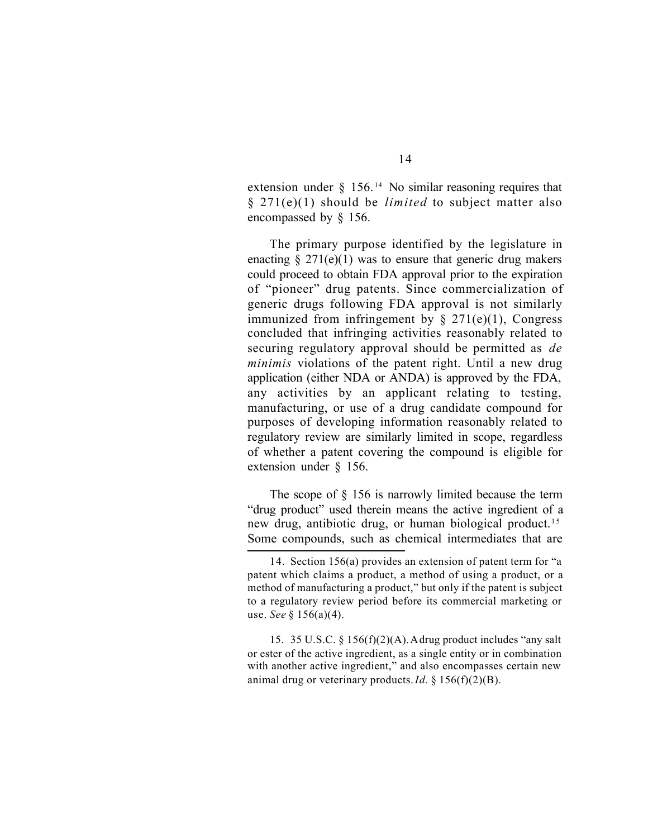extension under  $\S$  156.<sup>14</sup> No similar reasoning requires that § 271(e)(1) should be *limited* to subject matter also encompassed by § 156.

The primary purpose identified by the legislature in enacting  $\S 271(e)(1)$  was to ensure that generic drug makers could proceed to obtain FDA approval prior to the expiration of "pioneer" drug patents. Since commercialization of generic drugs following FDA approval is not similarly immunized from infringement by  $\S$  271(e)(1), Congress concluded that infringing activities reasonably related to securing regulatory approval should be permitted as *de minimis* violations of the patent right. Until a new drug application (either NDA or ANDA) is approved by the FDA, any activities by an applicant relating to testing, manufacturing, or use of a drug candidate compound for purposes of developing information reasonably related to regulatory review are similarly limited in scope, regardless of whether a patent covering the compound is eligible for extension under § 156.

The scope of § 156 is narrowly limited because the term "drug product" used therein means the active ingredient of a new drug, antibiotic drug, or human biological product.<sup>15</sup> Some compounds, such as chemical intermediates that are

15. 35 U.S.C. § 156(f)(2)(A). A drug product includes "any salt or ester of the active ingredient, as a single entity or in combination with another active ingredient," and also encompasses certain new animal drug or veterinary products. *Id.* § 156(f)(2)(B).

<sup>14.</sup> Section 156(a) provides an extension of patent term for "a patent which claims a product, a method of using a product, or a method of manufacturing a product," but only if the patent is subject to a regulatory review period before its commercial marketing or use. *See* § 156(a)(4).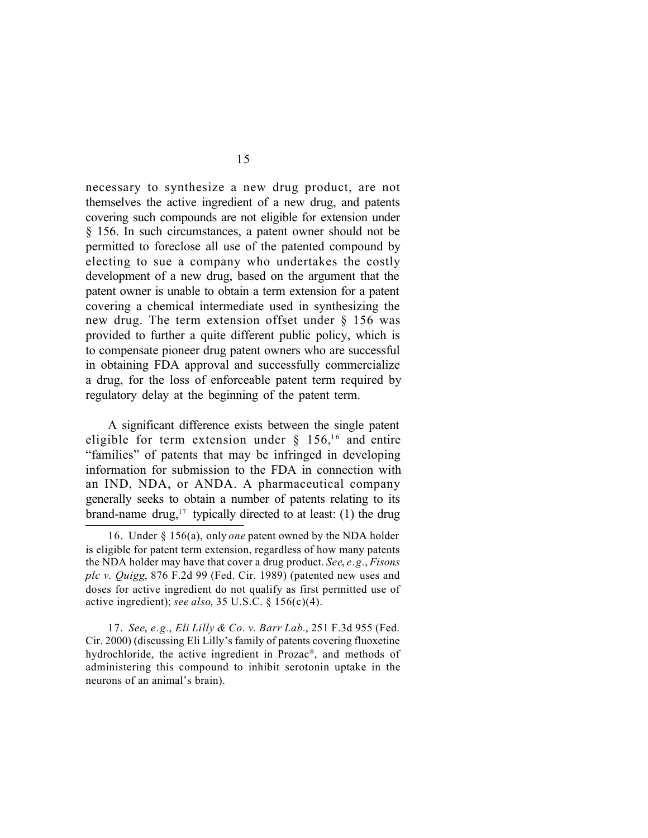necessary to synthesize a new drug product, are not themselves the active ingredient of a new drug, and patents covering such compounds are not eligible for extension under § 156. In such circumstances, a patent owner should not be permitted to foreclose all use of the patented compound by electing to sue a company who undertakes the costly development of a new drug, based on the argument that the patent owner is unable to obtain a term extension for a patent covering a chemical intermediate used in synthesizing the new drug. The term extension offset under § 156 was provided to further a quite different public policy, which is to compensate pioneer drug patent owners who are successful in obtaining FDA approval and successfully commercialize a drug, for the loss of enforceable patent term required by regulatory delay at the beginning of the patent term.

A significant difference exists between the single patent eligible for term extension under  $\S$  156,<sup>16</sup> and entire "families" of patents that may be infringed in developing information for submission to the FDA in connection with an IND, NDA, or ANDA. A pharmaceutical company generally seeks to obtain a number of patents relating to its brand-name drug,<sup>17</sup> typically directed to at least: (1) the drug

17. *See*, *e.g.*, *Eli Lilly & Co. v. Barr Lab.*, 251 F.3d 955 (Fed. Cir. 2000) (discussing Eli Lilly's family of patents covering fluoxetine hydrochloride, the active ingredient in Prozac® , and methods of administering this compound to inhibit serotonin uptake in the neurons of an animal's brain).

<sup>16.</sup> Under § 156(a), only *one* patent owned by the NDA holder is eligible for patent term extension, regardless of how many patents the NDA holder may have that cover a drug product. *See*, *e.g.*, *Fisons plc v. Quigg*, 876 F.2d 99 (Fed. Cir. 1989) (patented new uses and doses for active ingredient do not qualify as first permitted use of active ingredient); *see also*, 35 U.S.C. § 156(c)(4).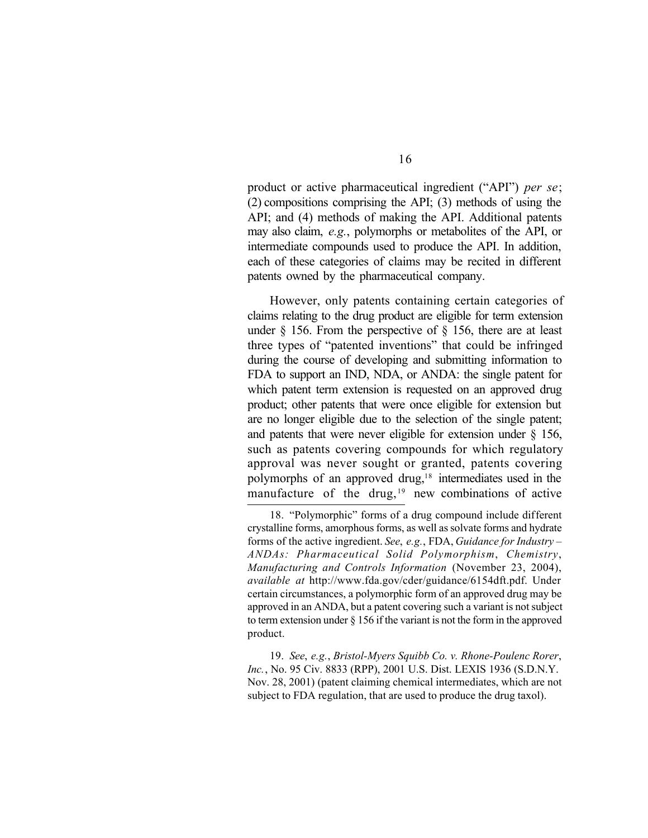product or active pharmaceutical ingredient ("API") *per se*; (2) compositions comprising the API; (3) methods of using the API; and (4) methods of making the API. Additional patents may also claim, *e.g.*, polymorphs or metabolites of the API, or intermediate compounds used to produce the API. In addition, each of these categories of claims may be recited in different patents owned by the pharmaceutical company.

However, only patents containing certain categories of claims relating to the drug product are eligible for term extension under § 156. From the perspective of § 156, there are at least three types of "patented inventions" that could be infringed during the course of developing and submitting information to FDA to support an IND, NDA, or ANDA: the single patent for which patent term extension is requested on an approved drug product; other patents that were once eligible for extension but are no longer eligible due to the selection of the single patent; and patents that were never eligible for extension under  $\S$  156, such as patents covering compounds for which regulatory approval was never sought or granted, patents covering polymorphs of an approved drug,18 intermediates used in the manufacture of the drug,<sup>19</sup> new combinations of active

19. *See*, *e.g.*, *Bristol-Myers Squibb Co. v. Rhone-Poulenc Rorer*, *Inc.*, No. 95 Civ. 8833 (RPP), 2001 U.S. Dist. LEXIS 1936 (S.D.N.Y. Nov. 28, 2001) (patent claiming chemical intermediates, which are not subject to FDA regulation, that are used to produce the drug taxol).

<sup>18.</sup> "Polymorphic" forms of a drug compound include different crystalline forms, amorphous forms, as well as solvate forms and hydrate forms of the active ingredient. *See*, *e.g.*, FDA, *Guidance for Industry – ANDAs: Pharmaceutical Solid Polymorphism*, *Chemistry*, *Manufacturing and Controls Information* (November 23, 2004), *available at* http://www.fda.gov/cder/guidance/6154dft.pdf. Under certain circumstances, a polymorphic form of an approved drug may be approved in an ANDA, but a patent covering such a variant is not subject to term extension under § 156 if the variant is not the form in the approved product.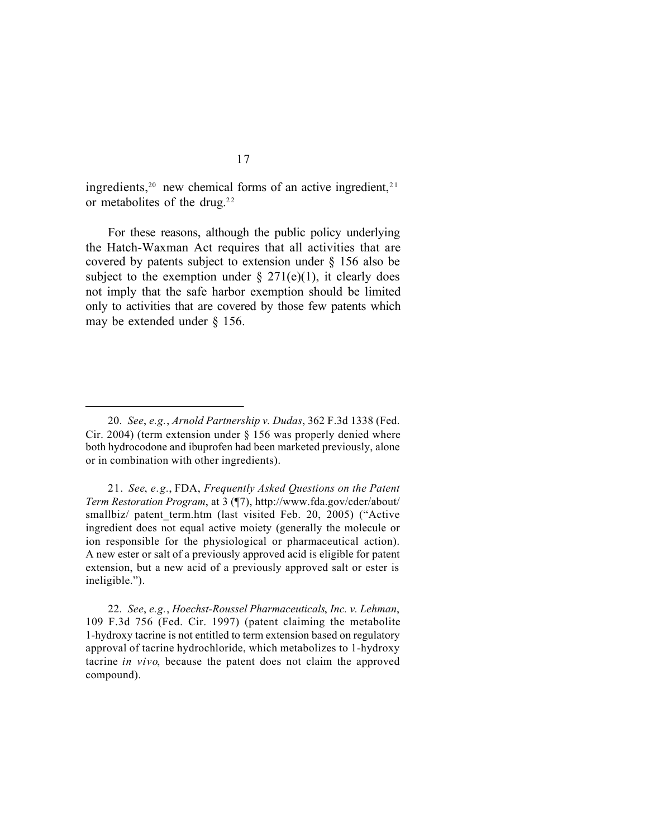ingredients,<sup>20</sup> new chemical forms of an active ingredient,<sup>21</sup> or metabolites of the drug.<sup>22</sup>

For these reasons, although the public policy underlying the Hatch-Waxman Act requires that all activities that are covered by patents subject to extension under § 156 also be subject to the exemption under  $\S$  271(e)(1), it clearly does not imply that the safe harbor exemption should be limited only to activities that are covered by those few patents which may be extended under § 156.

21. *See*, *e.g.*, FDA, *Frequently Asked Questions on the Patent Term Restoration Program*, at 3 (¶7), http://www.fda.gov/cder/about/ smallbiz/ patent term.htm (last visited Feb. 20, 2005) ("Active ingredient does not equal active moiety (generally the molecule or ion responsible for the physiological or pharmaceutical action). A new ester or salt of a previously approved acid is eligible for patent extension, but a new acid of a previously approved salt or ester is ineligible.").

22. *See*, *e.g.*, *Hoechst-Roussel Pharmaceuticals*, *Inc. v. Lehman*, 109 F.3d 756 (Fed. Cir. 1997) (patent claiming the metabolite 1-hydroxy tacrine is not entitled to term extension based on regulatory approval of tacrine hydrochloride, which metabolizes to 1-hydroxy tacrine *in vivo*, because the patent does not claim the approved compound).

<sup>20.</sup> *See*, *e.g.*, *Arnold Partnership v. Dudas*, 362 F.3d 1338 (Fed. Cir. 2004) (term extension under § 156 was properly denied where both hydrocodone and ibuprofen had been marketed previously, alone or in combination with other ingredients).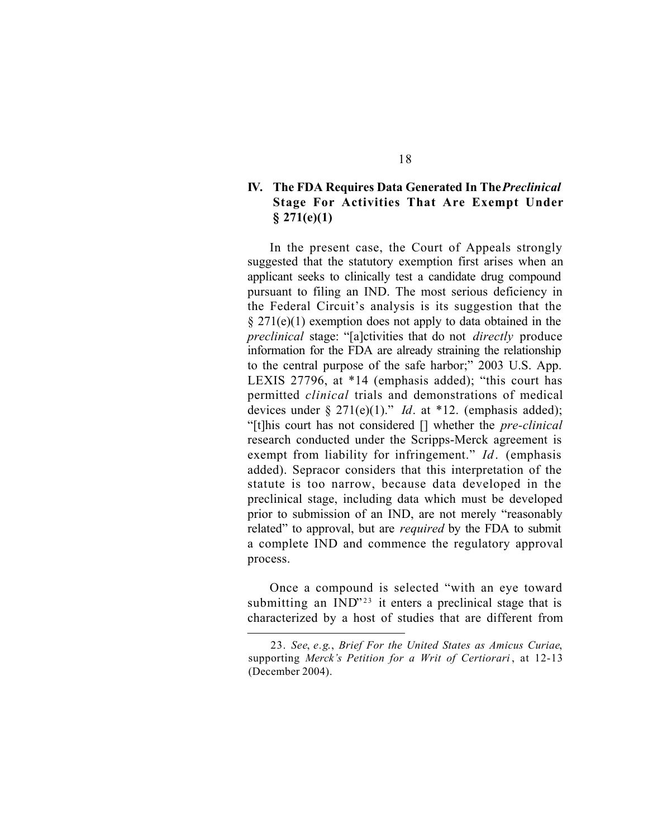## **IV. The FDA Requires Data Generated In The** *Preclinical* **Stage For Activities That Are Exempt Under § 271(e)(1)**

In the present case, the Court of Appeals strongly suggested that the statutory exemption first arises when an applicant seeks to clinically test a candidate drug compound pursuant to filing an IND. The most serious deficiency in the Federal Circuit's analysis is its suggestion that the  $§$  271(e)(1) exemption does not apply to data obtained in the *preclinical* stage: "[a]ctivities that do not *directly* produce information for the FDA are already straining the relationship to the central purpose of the safe harbor;" 2003 U.S. App. LEXIS 27796, at \*14 (emphasis added); "this court has permitted *clinical* trials and demonstrations of medical devices under § 271(e)(1)." *Id*. at \*12. (emphasis added); "[t]his court has not considered [] whether the *pre-clinical* research conducted under the Scripps-Merck agreement is exempt from liability for infringement." *Id*. (emphasis added). Sepracor considers that this interpretation of the statute is too narrow, because data developed in the preclinical stage, including data which must be developed prior to submission of an IND, are not merely "reasonably related" to approval, but are *required* by the FDA to submit a complete IND and commence the regulatory approval process.

Once a compound is selected "with an eye toward submitting an  $IND$ <sup>23</sup> it enters a preclinical stage that is characterized by a host of studies that are different from

<sup>23.</sup> *See*, *e.g*., *Brief For the United States as Amicus Curiae*, supporting *Merck's Petition for a Writ of Certiorari* , at 12-13 (December 2004).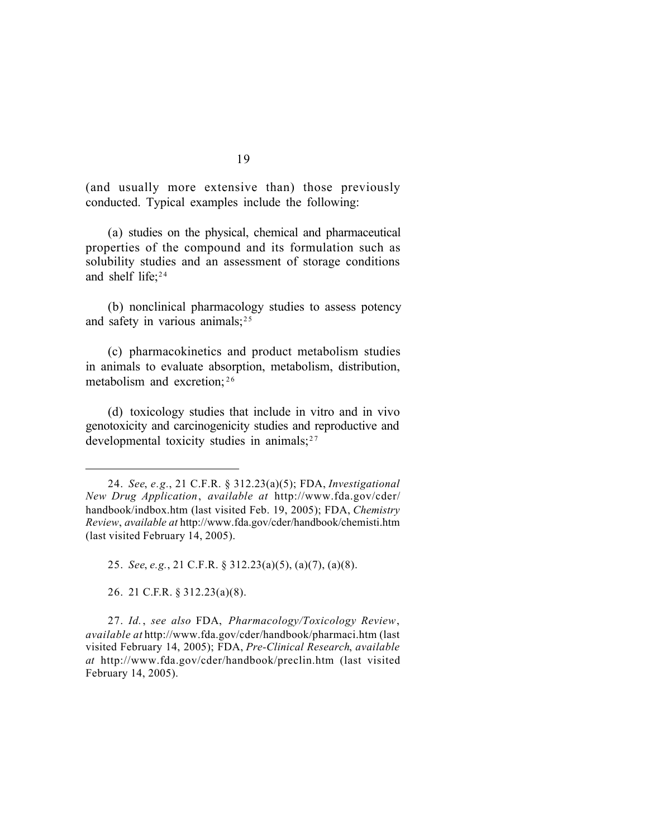(and usually more extensive than) those previously conducted. Typical examples include the following:

(a) studies on the physical, chemical and pharmaceutical properties of the compound and its formulation such as solubility studies and an assessment of storage conditions and shelf life;<sup>24</sup>

(b) nonclinical pharmacology studies to assess potency and safety in various animals;<sup>25</sup>

(c) pharmacokinetics and product metabolism studies in animals to evaluate absorption, metabolism, distribution, metabolism and excretion;  $26$ 

(d) toxicology studies that include in vitro and in vivo genotoxicity and carcinogenicity studies and reproductive and developmental toxicity studies in animals; $27$ 

25. *See*, *e.g.*, 21 C.F.R. § 312.23(a)(5), (a)(7), (a)(8).

26. 21 C.F.R. § 312.23(a)(8).

27. *Id.*, *see also* FDA, *Pharmacology/Toxicology Review*, *available at* http://www.fda.gov/cder/handbook/pharmaci.htm (last visited February 14, 2005); FDA, *Pre-Clinical Research*, *available at* http://www.fda.gov/cder/handbook/preclin.htm (last visited February 14, 2005).

<sup>24.</sup> *See*, *e.g.*, 21 C.F.R. § 312.23(a)(5); FDA, *Investigational New Drug Application*, *available at* http://www.fda.gov/cder/ handbook/indbox.htm (last visited Feb. 19, 2005); FDA, *Chemistry Review*, *available at* http://www.fda.gov/cder/handbook/chemisti.htm (last visited February 14, 2005).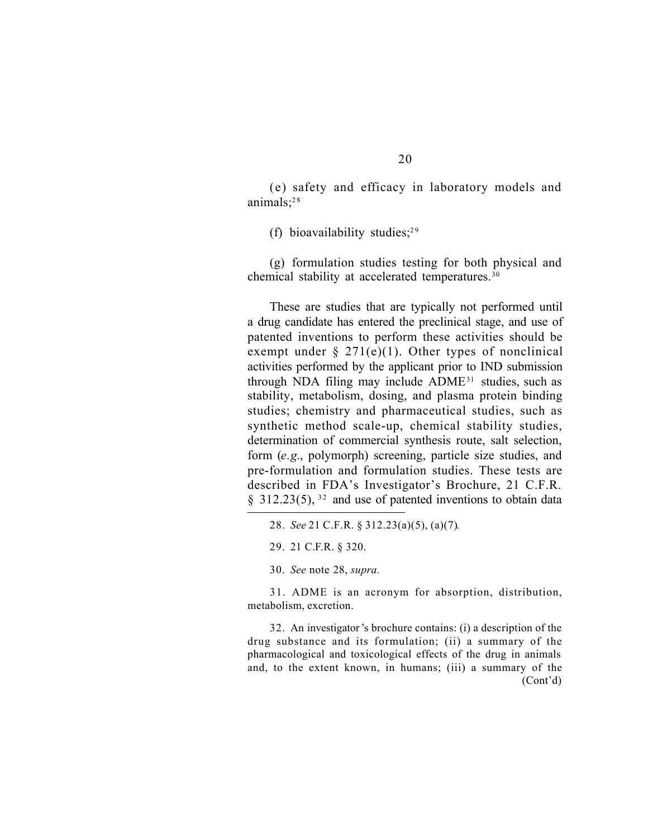(e) safety and efficacy in laboratory models and animals; $28$ 

(f) bioavailability studies;<sup>29</sup>

(g) formulation studies testing for both physical and chemical stability at accelerated temperatures.<sup>30</sup>

These are studies that are typically not performed until a drug candidate has entered the preclinical stage, and use of patented inventions to perform these activities should be exempt under  $\S 271(e)(1)$ . Other types of nonclinical activities performed by the applicant prior to IND submission through NDA filing may include ADME <sup>31</sup> studies, such as stability, metabolism, dosing, and plasma protein binding studies; chemistry and pharmaceutical studies, such as synthetic method scale-up, chemical stability studies, determination of commercial synthesis route, salt selection, form (*e.g*., polymorph) screening, particle size studies, and pre-formulation and formulation studies. These tests are described in FDA's Investigator's Brochure, 21 C.F.R. § 312.23(5),  $32$  and use of patented inventions to obtain data

30. *See* note 28, *supra.*

31. ADME is an acronym for absorption, distribution, metabolism, excretion.

32. An investigator's brochure contains: (i) a description of the drug substance and its formulation; (ii) a summary of the pharmacological and toxicological effects of the drug in animals and, to the extent known, in humans; (iii) a summary of the (Cont'd)

<sup>28.</sup> *See* 21 C.F.R. § 312.23(a)(5), (a)(7)*.*

<sup>29.</sup> 21 C.F.R. § 320.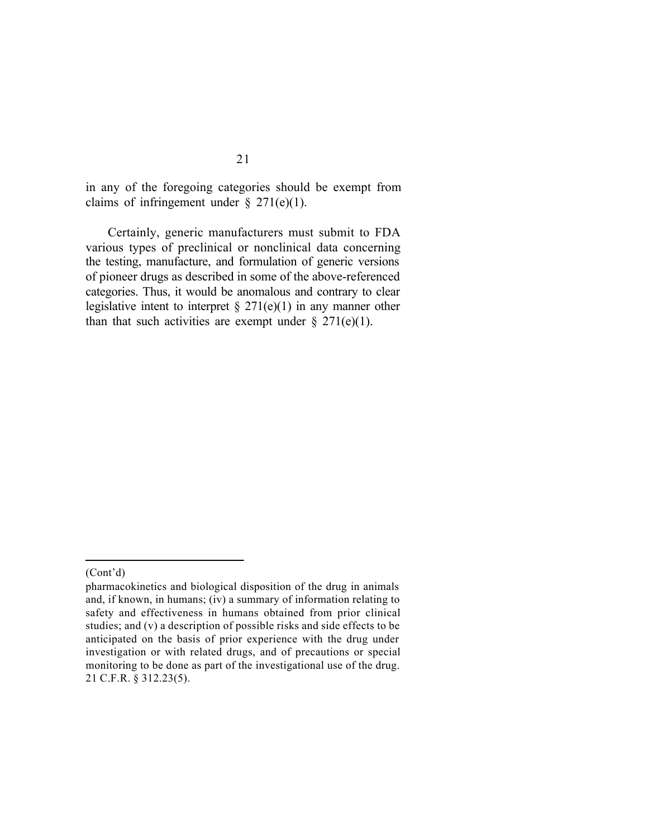in any of the foregoing categories should be exempt from claims of infringement under  $\S 271(e)(1)$ .

Certainly, generic manufacturers must submit to FDA various types of preclinical or nonclinical data concerning the testing, manufacture, and formulation of generic versions of pioneer drugs as described in some of the above-referenced categories. Thus, it would be anomalous and contrary to clear legislative intent to interpret  $\S 271(e)(1)$  in any manner other than that such activities are exempt under  $\S 271(e)(1)$ .

<sup>(</sup>Cont'd)

pharmacokinetics and biological disposition of the drug in animals and, if known, in humans; (iv) a summary of information relating to safety and effectiveness in humans obtained from prior clinical studies; and (v) a description of possible risks and side effects to be anticipated on the basis of prior experience with the drug under investigation or with related drugs, and of precautions or special monitoring to be done as part of the investigational use of the drug. 21 C.F.R. § 312.23(5).